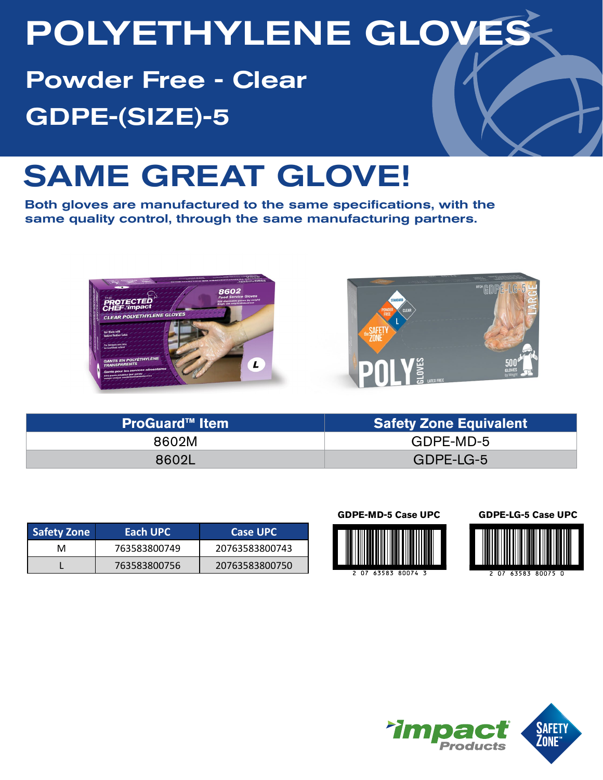# POLYETHYLENE GLOVES

Powder Free - Clear GDPE-(SIZE)-5

# SAME GREAT GLOVE!

Both gloves are manufactured to the same specifications, with the same quality control, through the same manufacturing partners.





| <b>ProGuard™ Item</b> | <b>Safety Zone Equivalent</b> |  |  |  |
|-----------------------|-------------------------------|--|--|--|
| 8602M                 | GDPE-MD-5                     |  |  |  |
| 8602L                 | GDPE-LG-5                     |  |  |  |

| Safety Zone | Each UPC     | <b>Case UPC</b> |  |  |  |
|-------------|--------------|-----------------|--|--|--|
| м           | 763583800749 | 20763583800743  |  |  |  |
|             | 763583800756 | 20763583800750  |  |  |  |

### **GDPE-MD-5 Case UPC GDPE-LG-5 Case UPC**